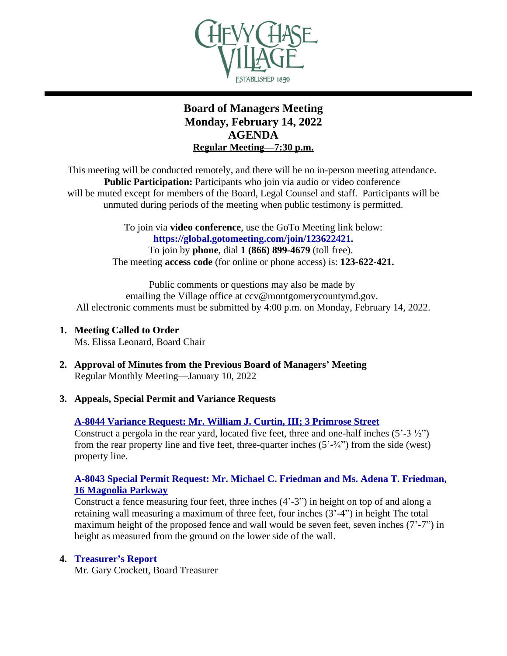

# **Board of Managers Meeting Monday, February 14, 2022 AGENDA Regular Meeting—7:30 p.m.**

This meeting will be conducted remotely, and there will be no in-person meeting attendance. **Public Participation:** Participants who join via audio or video conference will be muted except for members of the Board, Legal Counsel and staff. Participants will be unmuted during periods of the meeting when public testimony is permitted.

> To join via **video conference**, use the GoTo Meeting link below: **[https://global.gotomeeting.com/join/123622421.](https://global.gotomeeting.com/join/123622421)** To join by **phone**, dial **1 (866) 899-4679** (toll free). The meeting **access code** (for online or phone access) is: **123-622-421.**

Public comments or questions may also be made by emailing the Village office at ccv@montgomerycountymd.gov. All electronic comments must be submitted by 4:00 p.m. on Monday, February 14, 2022.

- **1. Meeting Called to Order** Ms. Elissa Leonard, Board Chair
- **2. Approval of Minutes from the Previous Board of Managers' Meeting** Regular Monthly Meeting—January 10, 2022
- **3. Appeals, Special Permit and Variance Requests**

## **[A-8044 Variance Request: Mr. William J. Curtin, III; 3 Primrose Street](https://www.chevychasevillagemd.gov/DocumentCenter/View/4274/00-Web-Pack_8044)**

Construct a pergola in the rear yard, located five feet, three and one-half inches  $(5^2-3^2)/2$ ) from the rear property line and five feet, three-quarter inches  $(5'-\frac{3}{4})$  from the side (west) [property line.](https://www.chevychasevillagemd.gov/DocumentCenter/View/4274/00-Web-Pack_8044)

#### **[A-8043 Special Permit Request: Mr. Michael C. Friedman and Ms. Adena T. Friedman,](https://www.chevychasevillagemd.gov/DocumentCenter/View/4263/00-Web-Pack-8043) [16 Magnolia Parkway](https://www.chevychasevillagemd.gov/DocumentCenter/View/4263/00-Web-Pack-8043)**

Construct a fence measuring four feet, three inches (4'-3") in height on top of and along a retaining wall measuring a maximum of three feet, four inches (3'-4") in height The total maximum height of the proposed fence and wall would be seven feet, seven inches (7'-7") in height as measured from the ground on the lower side of the wall.

## **4. [Treasurer](https://www.chevychasevillagemd.gov/DocumentCenter/View/4272/Treasurers-Report)'s Report**

Mr. Gary Crockett, Board Treasurer